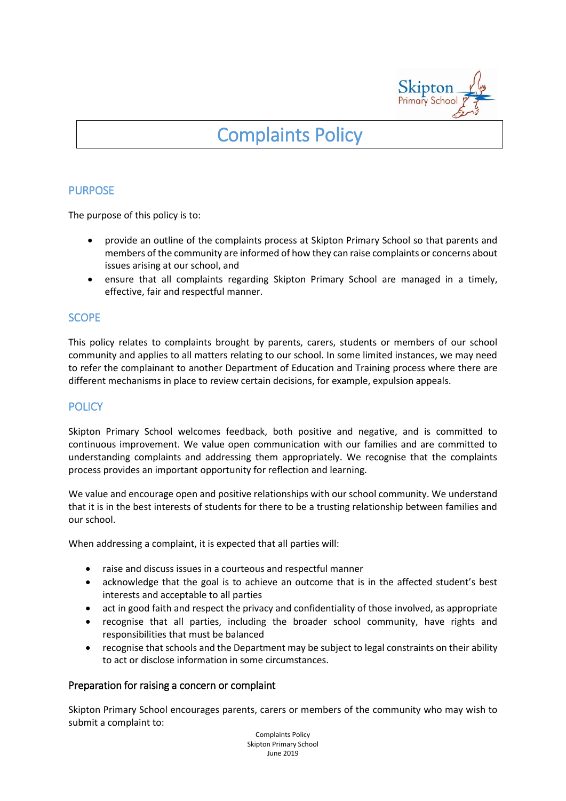

# Complaints Policy

# PURPOSE

The purpose of this policy is to:

- provide an outline of the complaints process at Skipton Primary School so that parents and members of the community are informed of how they can raise complaints or concerns about issues arising at our school, and
- ensure that all complaints regarding Skipton Primary School are managed in a timely, effective, fair and respectful manner.

## **SCOPE**

This policy relates to complaints brought by parents, carers, students or members of our school community and applies to all matters relating to our school. In some limited instances, we may need to refer the complainant to another Department of Education and Training process where there are different mechanisms in place to review certain decisions, for example, expulsion appeals.

# **POLICY**

Skipton Primary School welcomes feedback, both positive and negative, and is committed to continuous improvement. We value open communication with our families and are committed to understanding complaints and addressing them appropriately. We recognise that the complaints process provides an important opportunity for reflection and learning.

We value and encourage open and positive relationships with our school community. We understand that it is in the best interests of students for there to be a trusting relationship between families and our school.

When addressing a complaint, it is expected that all parties will:

- raise and discuss issues in a courteous and respectful manner
- acknowledge that the goal is to achieve an outcome that is in the affected student's best interests and acceptable to all parties
- act in good faith and respect the privacy and confidentiality of those involved, as appropriate
- recognise that all parties, including the broader school community, have rights and responsibilities that must be balanced
- recognise that schools and the Department may be subject to legal constraints on their ability to act or disclose information in some circumstances.

#### Preparation for raising a concern or complaint

Skipton Primary School encourages parents, carers or members of the community who may wish to submit a complaint to:

> Complaints Policy Skipton Primary School June 2019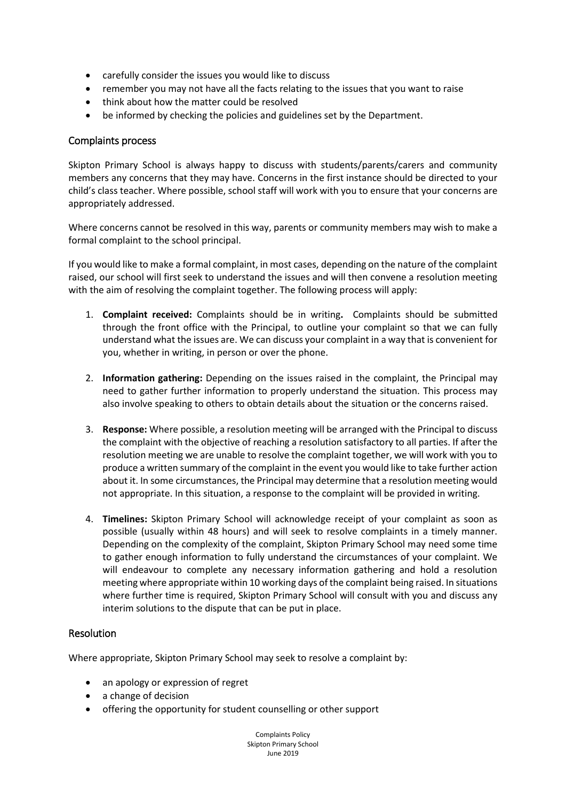- carefully consider the issues you would like to discuss
- remember you may not have all the facts relating to the issues that you want to raise
- think about how the matter could be resolved
- be informed by checking the policies and guidelines set by the Department.

#### Complaints process

Skipton Primary School is always happy to discuss with students/parents/carers and community members any concerns that they may have. Concerns in the first instance should be directed to your child's class teacher. Where possible, school staff will work with you to ensure that your concerns are appropriately addressed.

Where concerns cannot be resolved in this way, parents or community members may wish to make a formal complaint to the school principal.

If you would like to make a formal complaint, in most cases, depending on the nature of the complaint raised, our school will first seek to understand the issues and will then convene a resolution meeting with the aim of resolving the complaint together. The following process will apply:

- 1. **Complaint received:** Complaints should be in writing**.** Complaints should be submitted through the front office with the Principal, to outline your complaint so that we can fully understand what the issues are. We can discuss your complaint in a way that is convenient for you, whether in writing, in person or over the phone.
- 2. **Information gathering:** Depending on the issues raised in the complaint, the Principal may need to gather further information to properly understand the situation. This process may also involve speaking to others to obtain details about the situation or the concerns raised.
- 3. **Response:** Where possible, a resolution meeting will be arranged with the Principal to discuss the complaint with the objective of reaching a resolution satisfactory to all parties. If after the resolution meeting we are unable to resolve the complaint together, we will work with you to produce a written summary of the complaint in the event you would like to take further action about it. In some circumstances, the Principal may determine that a resolution meeting would not appropriate. In this situation, a response to the complaint will be provided in writing.
- 4. **Timelines:** Skipton Primary School will acknowledge receipt of your complaint as soon as possible (usually within 48 hours) and will seek to resolve complaints in a timely manner. Depending on the complexity of the complaint, Skipton Primary School may need some time to gather enough information to fully understand the circumstances of your complaint. We will endeavour to complete any necessary information gathering and hold a resolution meeting where appropriate within 10 working days of the complaint being raised. In situations where further time is required, Skipton Primary School will consult with you and discuss any interim solutions to the dispute that can be put in place.

## Resolution

Where appropriate, Skipton Primary School may seek to resolve a complaint by:

- an apology or expression of regret
- a change of decision
- offering the opportunity for student counselling or other support

Complaints Policy Skipton Primary School June 2019